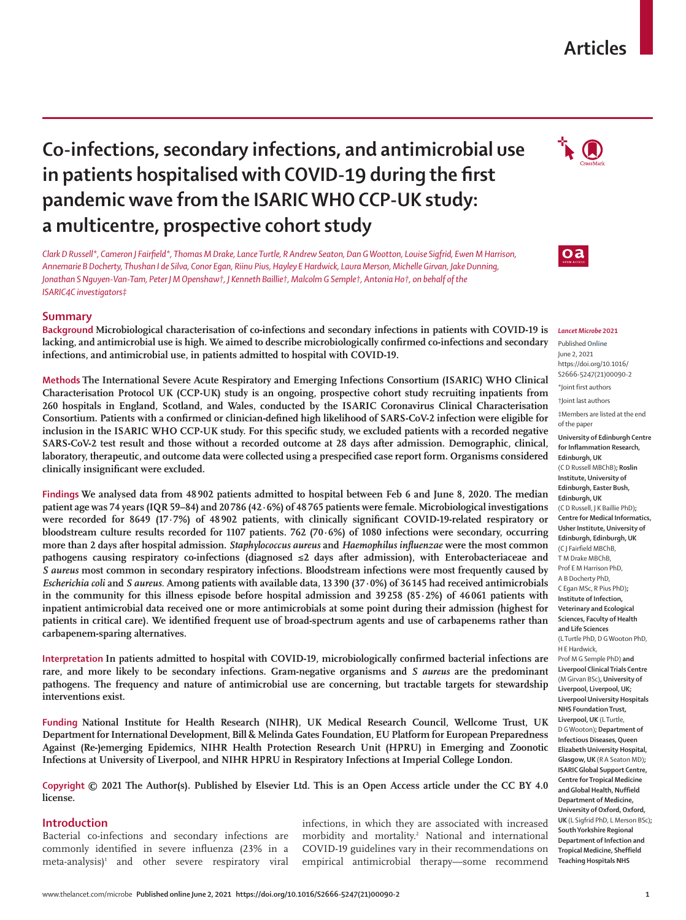## **Articles**

# **Co-infections, secondary infections, and antimicrobial use in patients hospitalised with COVID-19 during the first pandemic wave from the ISARIC WHO CCP-UK study: a multicentre, prospective cohort study**

*Clark D Russell\*, Cameron J Fairfield\*, Thomas M Drake, Lance Turtle, R Andrew Seaton, Dan G Wootton, Louise Sigfrid, Ewen M Harrison, Annemarie B Docherty, Thushan I de Silva, Conor Egan, Riinu Pius, Hayley E Hardwick, Laura Merson, Michelle Girvan, Jake Dunning, Jonathan S Nguyen-Van-Tam, Peter J M Openshaw†, J Kenneth Baillie†, Malcolm G Semple†, Antonia Ho†, on behalf of the ISARIC4C investigators‡*

## **Summary**

**Background Microbiological characterisation of co-infections and secondary infections in patients with COVID-19 is lacking, and antimicrobial use is high. We aimed to describe microbiologically confirmed co-infections and secondary infections, and antimicrobial use, in patients admitted to hospital with COVID-19.**

**Methods The International Severe Acute Respiratory and Emerging Infections Consortium (ISARIC) WHO Clinical Characterisation Protocol UK (CCP-UK) study is an ongoing, prospective cohort study recruiting inpatients from 260 hospitals in England, Scotland, and Wales, conducted by the ISARIC Coronavirus Clinical Characterisation Consortium. Patients with a confirmed or clinician-defined high likelihood of SARS-CoV-2 infection were eligible for inclusion in the ISARIC WHO CCP-UK study. For this specific study, we excluded patients with a recorded negative SARS-CoV-2 test result and those without a recorded outcome at 28 days after admission. Demographic, clinical, laboratory, therapeutic, and outcome data were collected using a prespecified case report form. Organisms considered clinically insignificant were excluded.**

**Findings We analysed data from 48 902 patients admitted to hospital between Feb 6 and June 8, 2020. The median patient age was 74 years (IQR 59–84) and 20786 (42·6%) of 48765 patients were female. Microbiological investigations were recorded for 8649 (17·7%) of 48 902 patients, with clinically significant COVID-19-related respiratory or bloodstream culture results recorded for 1107 patients. 762 (70·6%) of 1080 infections were secondary, occurring more than 2 days after hospital admission.** *Staphylococcus aureus* **and** *Haemophilus influenzae* **were the most common pathogens causing respiratory co-infections (diagnosed ≤2 days after admission), with Enterobacteriaceae and**  *S aureus* **most common in secondary respiratory infections. Bloodstream infections were most frequently caused by**  *Escherichia coli* **and** *S aureus.* **Among patients with available data, 13 390 (37·0%) of 36 145 had received antimicrobials in the community for this illness episode before hospital admission and 39 258 (85·2%) of 46 061 patients with inpatient antimicrobial data received one or more antimicrobials at some point during their admission (highest for patients in critical care). We identified frequent use of broad-spectrum agents and use of carbapenems rather than carbapenem-sparing alternatives.**

**Interpretation In patients admitted to hospital with COVID-19, microbiologically confirmed bacterial infections are rare, and more likely to be secondary infections. Gram-negative organisms and** *S aureus* **are the predominant pathogens. The frequency and nature of antimicrobial use are concerning, but tractable targets for stewardship interventions exist.**

**Funding National Institute for Health Research (NIHR), UK Medical Research Council, Wellcome Trust, UK Department for International Development, Bill & Melinda Gates Foundation, EU Platform for European Preparedness Against (Re-)emerging Epidemics, NIHR Health Protection Research Unit (HPRU) in Emerging and Zoonotic Infections at University of Liverpool, and NIHR HPRU in Respiratory Infections at Imperial College London.**

**Copyright © 2021 The Author(s). Published by Elsevier Ltd. This is an Open Access article under the CC BY 4.0 license.**

## **Introduction**

Bacterial co-infections and secondary infections are commonly identified in severe influenza (23% in a meta-analysis)<sup>1</sup> and other severe respiratory viral infections, in which they are associated with increased morbidity and mortality.2 National and international COVID-19 guidelines vary in their recommendations on empirical antimicrobial therapy—some recommend





#### *Lancet Microbe* **2021**

Published **Online** June 2, 2021 https://doi.org/10.1016/ S2666-5247(21)00090-2

\*Joint first authors

†Joint last authors

‡Members are listed at the end of the paper

**University of Edinburgh Centre for Inflammation Research, Edinburgh, UK** 

(C D Russell MBChB)**; Roslin Institute, University of Edinburgh, Easter Bush, Edinburgh, UK**  (C D Russell, J K Baillie PhD)**; Centre for Medical Informatics, Usher Institute, University of Edinburgh, Edinburgh, UK**  (C J Fairfield MBChB, T M Drake MBChB, Prof E M Harrison PhD, A B Docherty PhD, C Egan MSc, R Pius PhD)**; Institute of Infection, Veterinary and Ecological Sciences, Faculty of Health and Life Sciences**  (L Turtle PhD, D G Wooton PhD, H E Hardwick, Prof M G Semple PhD) **and Liverpool Clinical Trials Centre**  (M Girvan BSc)**, University of Liverpool, Liverpool, UK; Liverpool University Hospitals NHS Foundation Trust, Liverpool, UK** (L Turtle, D G Wooton)**; Department of Infectious Diseases, Queen Elizabeth University Hospital, Glasgow, UK** (R A Seaton MD)**; ISARIC Global Support Centre, Centre for Tropical Medicine and Global Health, Nuffield Department of Medicine, University of Oxford, Oxford, UK** (L Sigfrid PhD, L Merson BSc)**; South Yorkshire Regional Department of Infection and Tropical Medicine, Sheffield Teaching Hospitals NHS**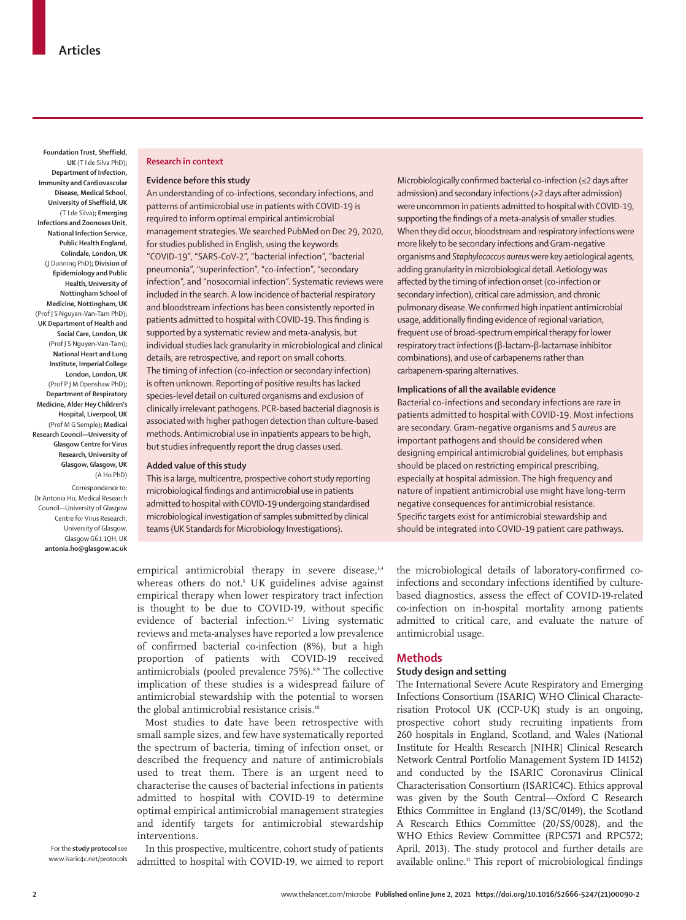**Foundation Trust, Sheffield, UK** (T I de Silva PhD)**; Department of Infection, Immunity and Cardiovascular Disease, Medical School, University of Sheffield, UK**  (T I de Silva)**; Emerging Infections and Zoonoses Unit, National Infection Service, Public Health England, Colindale, London, UK**  (J Dunning PhD)**; Division of Epidemiology and Public Health, University of Nottingham School of Medicine, Nottingham, UK**  (Prof J S Nguyen-Van-Tam PhD)**; UK Department of Health and Social Care, London, UK**  (Prof J S Nguyen-Van-Tam)**; National Heart and Lung Institute, Imperial College London, London, UK**  (Prof P J M Openshaw PhD)**; Department of Respiratory Medicine, Alder Hey Children's Hospital, Liverpool, UK**  (Prof M G Semple)**; Medical Research Council—University of Glasgow Centre for Virus Research, University of Glasgow, Glasgow, UK**  (A Ho PhD)

Correspondence to: Dr Antonia Ho, Medical Research Council—University of Glasgow Centre for Virus Research, University of Glasgow, Glasgow G61 1QH, UK **antonia.ho@glasgow.ac.uk**

#### **Research in context**

#### **Evidence before this study**

An understanding of co-infections, secondary infections, and patterns of antimicrobial use in patients with COVID-19 is required to inform optimal empirical antimicrobial management strategies. We searched PubMed on Dec 29, 2020, for studies published in English, using the keywords "COVID-19", "SARS-CoV-2", "bacterial infection", "bacterial pneumonia", "superinfection", "co-infection", "secondary infection", and "nosocomial infection". Systematic reviews were included in the search. A low incidence of bacterial respiratory and bloodstream infections has been consistently reported in patients admitted to hospital with COVID-19. This finding is supported by a systematic review and meta-analysis, but individual studies lack granularity in microbiological and clinical details, are retrospective, and report on small cohorts. The timing of infection (co-infection or secondary infection) is often unknown. Reporting of positive results has lacked species-level detail on cultured organisms and exclusion of clinically irrelevant pathogens. PCR-based bacterial diagnosis is associated with higher pathogen detection than culture-based methods. Antimicrobial use in inpatients appears to be high, but studies infrequently report the drug classes used.

#### **Added value of this study**

This is a large, multicentre, prospective cohort study reporting microbiological findings and antimicrobial use in patients admitted to hospital with COVID-19 undergoing standardised microbiological investigation of samples submitted by clinical teams (UK Standards for Microbiology Investigations).

empirical antimicrobial therapy in severe disease,<sup>3,4</sup> whereas others do not.<sup>5</sup> UK guidelines advise against empirical therapy when lower respiratory tract infection is thought to be due to COVID-19, without specific evidence of bacterial infection.<sup>6,7</sup> Living systematic reviews and meta-analyses have reported a low prevalence of confirmed bacterial co-infection (8%), but a high proportion of patients with COVID-19 received antimicrobials (pooled prevalence 75%).<sup>8,9</sup> The collective implication of these studies is a widespread failure of antimicrobial stewardship with the potential to worsen the global antimicrobial resistance crisis.<sup>10</sup>

Most studies to date have been retrospective with small sample sizes, and few have systematically reported the spectrum of bacteria, timing of infection onset, or described the frequency and nature of antimicrobials used to treat them. There is an urgent need to characterise the causes of bacterial infections in patients admitted to hospital with COVID-19 to determine optimal empirical antimicrobial management strategies and identify targets for antimicrobial stewardship interventions.

For the **study protocol** see www.isaric4c.net/protocols

In this prospective, multicentre, cohort study of patients admitted to hospital with COVID-19, we aimed to report Microbiologically confirmed bacterial co-infection (≤2 days after admission) and secondary infections (>2 days after admission) were uncommon in patients admitted to hospital with COVID-19, supporting the findings of a meta-analysis of smaller studies. When they did occur, bloodstream and respiratory infections were more likely to be secondary infections and Gram-negative organisms and *Staphylococcus aureus* were key aetiological agents, adding granularity in microbiological detail. Aetiology was affected by the timing of infection onset (co-infection or secondary infection), critical care admission, and chronic pulmonary disease. We confirmed high inpatient antimicrobial usage, additionally finding evidence of regional variation, frequent use of broad-spectrum empirical therapy for lower respiratory tract infections (β-lactam–β-lactamase inhibitor combinations), and use of carbapenems rather than carbapenem-sparing alternatives.

## **Implications of all the available evidence**

Bacterial co-infections and secondary infections are rare in patients admitted to hospital with COVID-19. Most infections are secondary. Gram-negative organisms and *S aureus* are important pathogens and should be considered when designing empirical antimicrobial guidelines, but emphasis should be placed on restricting empirical prescribing, especially at hospital admission. The high frequency and nature of inpatient antimicrobial use might have long-term negative consequences for antimicrobial resistance. Specific targets exist for antimicrobial stewardship and should be integrated into COVID-19 patient care pathways.

the microbiological details of laboratory-confirmed coinfections and secondary infections identified by culturebased diagnostics, assess the effect of COVID-19-related co-infection on in-hospital mortality among patients admitted to critical care, and evaluate the nature of antimicrobial usage.

#### **Methods**

## **Study design and setting**

The International Severe Acute Respiratory and Emerging Infections Consortium (ISARIC) WHO Clinical Characterisation Protocol UK (CCP-UK) study is an ongoing, prospective cohort study recruiting inpatients from 260 hospitals in England, Scotland, and Wales (National Institute for Health Research [NIHR] Clinical Research Network Central Portfolio Management System ID 14152) and conducted by the ISARIC Coronavirus Clinical Characterisation Consortium (ISARIC4C). Ethics approval was given by the South Central—Oxford C Research Ethics Committee in England (13/SC/0149), the Scotland A Research Ethics Committee (20/SS/0028), and the WHO Ethics Review Committee (RPC571 and RPC572; April, 2013). The study protocol and further details are available online.11 This report of microbiological findings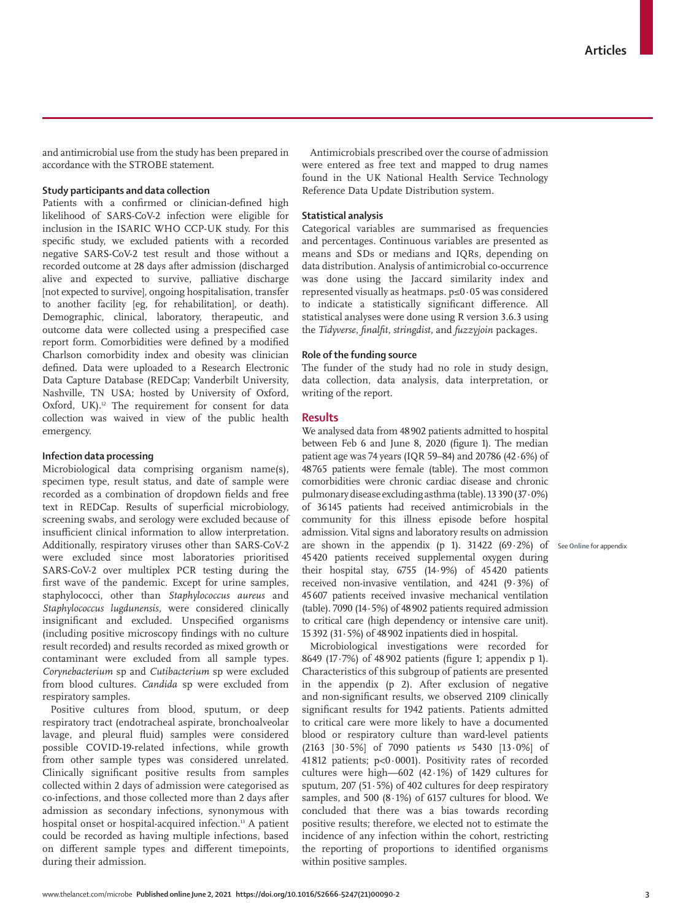and antimicrobial use from the study has been prepared in accordance with the STROBE statement.

## **Study participants and data collection**

Patients with a confirmed or clinician-defined high likelihood of SARS-CoV-2 infection were eligible for inclusion in the ISARIC WHO CCP-UK study. For this specific study, we excluded patients with a recorded negative SARS-CoV-2 test result and those without a recorded outcome at 28 days after admission (discharged alive and expected to survive, palliative discharge [not expected to survive], ongoing hospitalisation, transfer to another facility [eg, for rehabilitation], or death). Demographic, clinical, laboratory, therapeutic, and outcome data were collected using a prespecified case report form. Comorbidities were defined by a modified Charlson comorbidity index and obesity was clinician defined. Data were uploaded to a Research Electronic Data Capture Database (REDCap; Vanderbilt University, Nashville, TN USA; hosted by University of Oxford, Oxford, UK).<sup>12</sup> The requirement for consent for data collection was waived in view of the public health emergency.

## **Infection data processing**

Microbiological data comprising organism name(s), specimen type, result status, and date of sample were recorded as a combination of dropdown fields and free text in REDCap. Results of superficial microbiology, screening swabs, and serology were excluded because of insufficient clinical information to allow interpretation. Additionally, respiratory viruses other than SARS-CoV-2 were excluded since most laboratories prioritised SARS-CoV-2 over multiplex PCR testing during the first wave of the pandemic. Except for urine samples, staphylococci, other than *Staphylococcus aureus* and *Staphylococcus lugdunensis*, were considered clinically insignificant and excluded. Unspecified organisms (including positive microscopy findings with no culture result recorded) and results recorded as mixed growth or contaminant were excluded from all sample types. *Corynebacterium* sp and *Cutibacterium* sp were excluded from blood cultures. *Candida* sp were excluded from respiratory samples.

Positive cultures from blood, sputum, or deep respiratory tract (endotracheal aspirate, bronchoalveolar lavage, and pleural fluid) samples were considered possible COVID-19-related infections, while growth from other sample types was considered unrelated. Clinically significant positive results from samples collected within 2 days of admission were categorised as co-infections, and those collected more than 2 days after admission as secondary infections, synonymous with hospital onset or hospital-acquired infection.<sup>13</sup> A patient could be recorded as having multiple infections, based on different sample types and different timepoints, during their admission.

Antimicrobials prescribed over the course of admission were entered as free text and mapped to drug names found in the UK National Health Service Technology Reference Data Update Distribution system.

## **Statistical analysis**

Categorical variables are summarised as frequencies and percentages. Continuous variables are presented as means and SDs or medians and IQRs, depending on data distribution. Analysis of antimicrobial co-occurrence was done using the Jaccard similarity index and represented visually as heatmaps. p≤0·05 was considered to indicate a statistically significant difference. All statistical analyses were done using R version 3.6.3 using the *Tidyverse*, *finalfit*, *stringdist*, and *fuzzyjoin* packages.

#### **Role of the funding source**

The funder of the study had no role in study design, data collection, data analysis, data interpretation, or writing of the report.

#### **Results**

are shown in the appendix (p 1). 31422 (69·2%) of See Online for appendix We analysed data from 48902 patients admitted to hospital between Feb 6 and June 8, 2020 (figure 1). The median patient age was 74 years (IQR 59–84) and 20786 (42·6%) of 48765 patients were female (table). The most common comorbidities were chronic cardiac disease and chronic pulmonary disease excluding asthma (table). 13390 (37·0%) of 36145 patients had received antimicrobials in the community for this illness episode before hospital admission. Vital signs and laboratory results on admission 45420 patients received supplemental oxygen during their hospital stay, 6755 (14·9%) of 45420 patients received non-invasive ventilation, and 4241 (9·3%) of 45607 patients received invasive mechanical ventilation (table). 7090 (14·5%) of 48902 patients required admission to critical care (high dependency or intensive care unit). 15392 (31·5%) of 48902 inpatients died in hospital.

Microbiological investigations were recorded for 8649 (17·7%) of 48 902 patients (figure 1; appendix p 1). Characteristics of this subgroup of patients are presented in the appendix (p 2). After exclusion of negative and non-significant results, we observed 2109 clinically significant results for 1942 patients. Patients admitted to critical care were more likely to have a documented blood or respiratory culture than ward-level patients (2163 [30·5%] of 7090 patients *vs* 5430 [13·0%] of 41 812 patients; p<0·0001). Positivity rates of recorded cultures were high—602 (42·1%) of 1429 cultures for sputum, 207 (51·5%) of 402 cultures for deep respiratory samples, and 500 (8·1%) of 6157 cultures for blood. We concluded that there was a bias towards recording positive results; therefore, we elected not to estimate the incidence of any infection within the cohort, restricting the reporting of proportions to identified organisms within positive samples.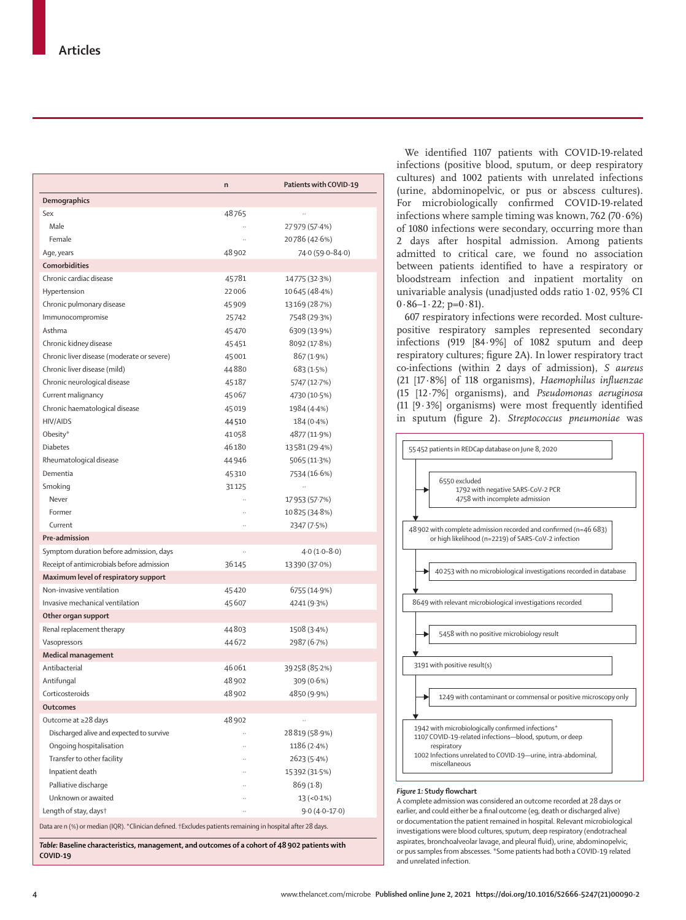|                                                                                                             | n     | Patients with COVID-19 |
|-------------------------------------------------------------------------------------------------------------|-------|------------------------|
| Demographics                                                                                                |       |                        |
| Sex                                                                                                         | 48765 |                        |
| Male                                                                                                        |       | 27 979 (57 4%)         |
| Female                                                                                                      |       | 20786 (42.6%)          |
| Age, years                                                                                                  | 48902 | 74.0 (59.0-84.0)       |
| Comorbidities                                                                                               |       |                        |
| Chronic cardiac disease                                                                                     | 45781 | 14775 (32.3%)          |
| Hypertension                                                                                                | 22006 | 10645 (48.4%)          |
| Chronic pulmonary disease                                                                                   | 45909 | 13169 (28.7%)          |
| Immunocompromise                                                                                            | 25742 | 7548 (29.3%)           |
| Asthma                                                                                                      | 45470 | 6309 (13.9%)           |
| Chronic kidney disease                                                                                      | 45451 | 8092 (17.8%)           |
| Chronic liver disease (moderate or severe)                                                                  | 45001 | 867 (1.9%)             |
| Chronic liver disease (mild)                                                                                | 44880 | 683 (1.5%)             |
| Chronic neurological disease                                                                                | 45187 | 5747 (12.7%)           |
| Current malignancy                                                                                          | 45067 | 4730 (10.5%)           |
| Chronic haematological disease                                                                              | 45019 | 1984 (4.4%)            |
| <b>HIV/AIDS</b>                                                                                             | 44510 | 184 (0.4%)             |
| Obesity*                                                                                                    | 41058 | 4877 (11.9%)           |
| <b>Diabetes</b>                                                                                             | 46180 | 13581 (29.4%)          |
| Rheumatological disease                                                                                     | 44946 | 5065 (11.3%)           |
| Dementia                                                                                                    | 45310 | 7534 (16.6%)           |
| Smoking                                                                                                     | 31125 | .,                     |
| Never                                                                                                       |       | 17953 (57.7%)          |
| Former                                                                                                      |       | 10 825 (34.8%)         |
| Current                                                                                                     |       | 2347 (7.5%)            |
| Pre-admission                                                                                               |       |                        |
| Symptom duration before admission, days                                                                     |       | $4.0(1.0-8.0)$         |
| Receipt of antimicrobials before admission                                                                  | 36145 | 13390 (37.0%)          |
| Maximum level of respiratory support                                                                        |       |                        |
| Non-invasive ventilation                                                                                    | 45420 | 6755 (14.9%)           |
| Invasive mechanical ventilation                                                                             | 45607 | 4241 (9.3%)            |
| Other organ support                                                                                         |       |                        |
| Renal replacement therapy                                                                                   | 44803 | 1508 (3.4%)            |
| Vasopressors                                                                                                | 44672 | 2987 (6.7%)            |
| <b>Medical management</b>                                                                                   |       |                        |
| Antibacterial                                                                                               | 46061 | 39258 (85.2%)          |
| Antifungal                                                                                                  | 48902 | 309 (0.6%)             |
| Corticosteroids                                                                                             | 48902 | 4850 (9.9%)            |
| <b>Outcomes</b>                                                                                             |       |                        |
| Outcome at ≥28 days                                                                                         | 48902 |                        |
| Discharged alive and expected to survive                                                                    |       | 28819 (58.9%)          |
| Ongoing hospitalisation                                                                                     |       | 1186(2.4%)             |
| Transfer to other facility                                                                                  |       | 2623 (5.4%)            |
| Inpatient death                                                                                             |       | 15392 (31.5%)          |
| Palliative discharge                                                                                        |       | 869(1.8)               |
| Unknown or awaited                                                                                          |       | $13 (-0.1\%)$          |
| Length of stay, days†                                                                                       |       | $9.0(4.0-17.0)$        |
| Data are n (%) or median (IQR). *Clinician defined. †Excludes patients remaining in hospital after 28 days. |       |                        |
| Table: Baseline characteristics, management, and outcomes of a cohort of 48 902 patients with               |       |                        |
| $COVID-19$                                                                                                  |       |                        |

We identified 1107 patients with COVID-19-related infections (positive blood, sputum, or deep respiratory cultures) and 1002 patients with unrelated infections (urine, abdominopelvic, or pus or abscess cultures). For microbiologically confirmed COVID-19-related infections where sample timing was known, 762 (70·6%) of 1080 infections were secondary, occurring more than 2 days after hospital admission. Among patients admitted to critical care, we found no association between patients identified to have a respiratory or bloodstream infection and inpatient mortality on univariable analysis (unadjusted odds ratio 1·02, 95% CI  $0.86 - 1.22$ ; p= $0.81$ ).

607 respiratory infections were recorded. Most culturepositive respiratory samples represented secondary infections (919 [84·9%] of 1082 sputum and deep respiratory cultures; figure 2A). In lower respiratory tract co-infections (within 2 days of admission), *S aureus*  (21 [17·8%] of 118 organisms), *Haemophilus influenzae* (15 [12·7%] organisms), and *Pseudomonas aeruginosa* (11 [9·3%] organisms) were most frequently identified in sputum (figure 2). *Streptococcus pneumoniae* was



#### A complete admission was considered an outcome recorded at 28 days or earlier, and could either be a final outcome (eg, death or discharged alive) or documentation the patient remained in hospital. Relevant microbiological investigations were blood cultures, sputum, deep respiratory (endotracheal aspirates, bronchoalveolar lavage, and pleural fluid), urine, abdominopelvic, or pus samples from abscesses. \*Some patients had both a COVID-19 related and unrelated infection.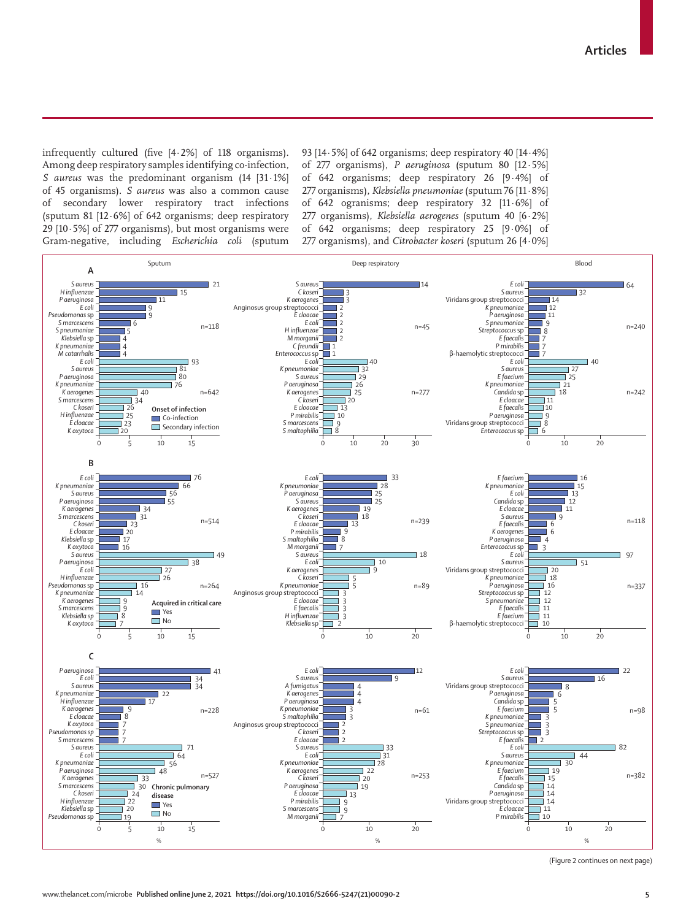infrequently cultured (five [4·2%] of 118 organisms). Among deep respiratory samples identifying co-infection, *S aureus* was the predominant organism (14 [31·1%] of 45 organisms). *S aureus* was also a common cause of secondary lower respiratory tract infections (sputum 81 [12·6%] of 642 organisms; deep respiratory 29  $[10.5\%]$  of 277 organisms), but most organisms were Gram-negative, including *Escherichia coli* (sputum 93 [14·5%] of 642 organisms; deep respiratory 40 [14·4%] of 277 organisms), *P aeruginosa* (sputum 80 [12·5%] of 642 organisms; deep respiratory 26 [9·4%] of 277 organisms), *Klebsiella pneumoniae* (sputum 76 [11·8%] of 642 ogranisms; deep respiratory 32 [11·6%] of 277 organisms), *Klebsiella aerogenes* (sputum 40 [6·2%] of 642 organisms; deep respiratory 25 [9·0%] of 277 organisms), and *Citrobacter koseri* (sputum 26 [4·0%]



(Figure 2 continues on next page)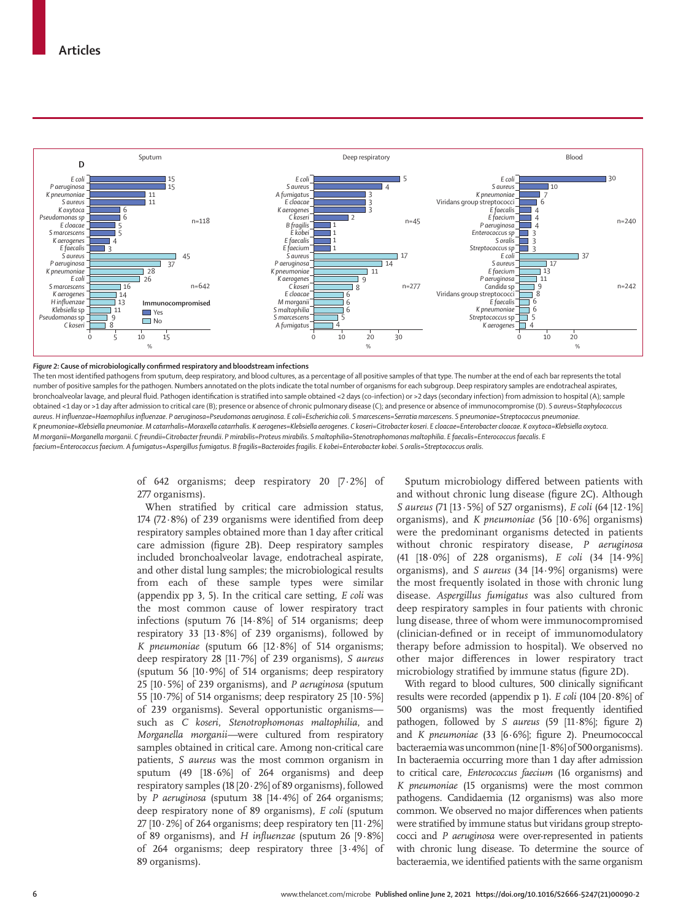

#### *Figure 2:* **Cause of microbiologically confirmed respiratory and bloodstream infections**

The ten most identified pathogens from sputum, deep respiratory, and blood cultures, as a percentage of all positive samples of that type. The number at the end of each bar represents the total number of positive samples for the pathogen. Numbers annotated on the plots indicate the total number of organisms for each subgroup. Deep respiratory samples are endotracheal aspirates, bronchoalveolar lavage, and pleural fluid. Pathogen identification is stratified into sample obtained <2 days (co-infection) or >2 days (secondary infection) from admission to hospital (A); sample obtained <1 day or >1 day after admission to critical care (B); presence or absence of chronic pulmonary disease (C); and presence or absence of immunocompromise (D). *S aureus*=*Staphylococcus*  aureus. Hinfluenzae=Haemophilus influenzae. P aeruginosa=Pseudomonas aeruginosa. E coli=Escherichia coli. S marcescens=Serratia marcescens. S pneumoniae=Streptococcus pneumoniae K pneumoniae=Klebsiella pneumoniae. M catarrhalis=Moraxella catarrhalis. K aerogenes=Klebsiella aerogenes. C koseri=Citrobacter koseri. E cloacae=Enterobacter cloacae. K oxytoca=Klebsiella oxytoca. M morganii=Morganella morganii. C freundii=Citrobacter freundii. P mirabilis=Proteus mirabilis. S maltophilia=Stenotrophomonas maltophilia. E faecalis=Enterococcus faecalis. E faecium=Enterococcus faecium. A fumigatus=Aspergillus fumigatus. B fragilis=Bacteroides fragilis. E kobei=Enterobacter kobei. S oralis=Streptococcus oralis

> of 642 organisms; deep respiratory 20 [7·2%] of 277 organisms).

> When stratified by critical care admission status, 174 (72·8%) of 239 organisms were identified from deep respiratory samples obtained more than 1 day after critical care admission (figure 2B). Deep respiratory samples included bronchoalveolar lavage, endotracheal aspirate, and other distal lung samples; the microbiological results from each of these sample types were similar (appendix pp 3, 5). In the critical care setting, *E coli* was the most common cause of lower respiratory tract infections (sputum 76 [14·8%] of 514 organisms; deep respiratory 33  $[13.8\%]$  of 239 organisms), followed by *K pneumoniae* (sputum 66 [12·8%] of 514 organisms; deep respiratory 28 [11·7%] of 239 organisms), *S aureus* (sputum 56 [10·9%] of 514 organisms; deep respiratory 25 [10·5%] of 239 organisms), and *P aeruginosa* (sputum 55  $[10.7\%]$  of 514 organisms; deep respiratory 25  $[10.5\%]$ of 239 organisms). Several opportunistic organisms such as *C koseri*, *Stenotrophomonas maltophilia*, and *Morganella morganii—*were cultured from respiratory samples obtained in critical care. Among non-critical care patients, *S aureus* was the most common organism in sputum  $(49 \t[18.6\%]$  of 264 organisms) and deep respiratory samples (18 [20·2%] of 89 organisms), followed by *P aeruginosa* (sputum 38 [14·4%] of 264 organisms; deep respiratory none of 89 organisms), *E coli* (sputum 27 [10 $\cdot$ 2%] of 264 organisms; deep respiratory ten [11 $\cdot$ 2%] of 89 organisms), and *H influenzae* (sputum 26 [9·8%] of 264 organisms; deep respiratory three [3·4%] of 89 organisms).

Sputum microbiology differed between patients with and without chronic lung disease (figure 2C). Although *S aureus* (71 [13·5%] of 527 organisms), *E coli* (64 [12·1%] organisms), and *K pneumoniae* (56 [10·6%] organisms) were the predominant organisms detected in patients without chronic respiratory disease, *P aeruginosa*  (41 [18·0%] of 228 organisms), *E coli* (34 [14·9%] organisms), and *S aureus* (34 [14·9%] organisms) were the most frequently isolated in those with chronic lung disease. *Aspergillus fumigatus* was also cultured from deep respiratory samples in four patients with chronic lung disease, three of whom were immunocompromised (clinician-defined or in receipt of immunomodulatory therapy before admission to hospital). We observed no other major differences in lower respiratory tract microbiology stratified by immune status (figure 2D).

With regard to blood cultures, 500 clinically significant results were recorded (appendix p 1). *E coli* (104 [20·8%] of 500 organisms) was the most frequently identified pathogen, followed by *S aureus* (59 [11·8%]; figure 2) and *K pneumoniae* (33 [6·6%]; figure 2). Pneumococcal bacteraemia was uncommon (nine [1·8%] of 500 organisms). In bacteraemia occurring more than 1 day after admission to critical care, *Enterococcus faecium* (16 organisms) and *K pneumoniae* (15 organisms) were the most common pathogens. Candidaemia (12 organisms) was also more common. We observed no major differences when patients were stratified by immune status but viridans group streptococci and *P aeruginosa* were over-represented in patients with chronic lung disease. To determine the source of bacteraemia, we identified patients with the same organism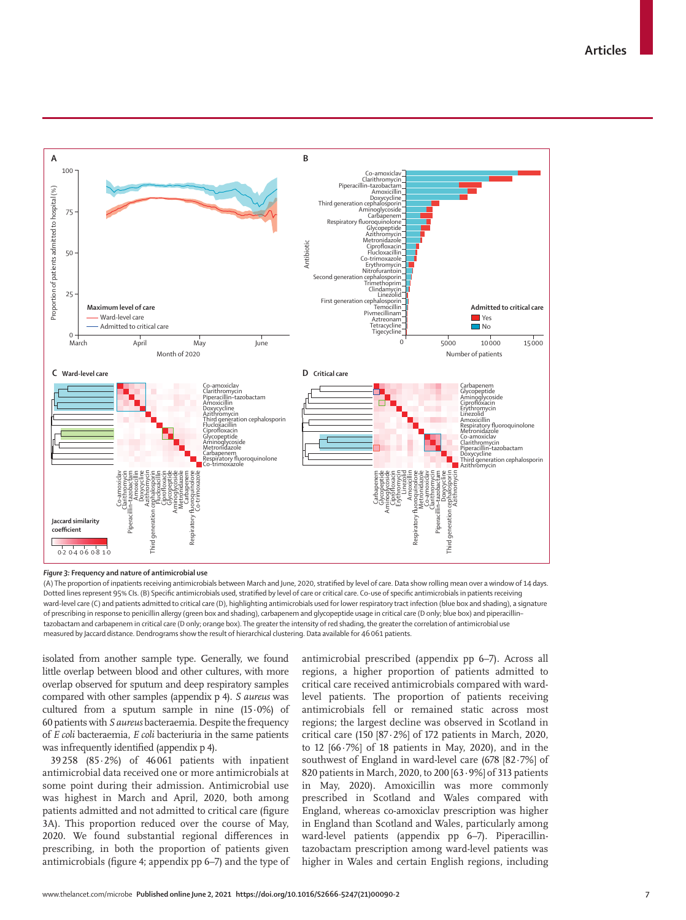**Articles**



*Figure 3:* **Frequency and nature of antimicrobial use**

(A) The proportion of inpatients receiving antimicrobials between March and June, 2020, stratified by level of care. Data show rolling mean over a window of 14 days. Dotted lines represent 95% CIs. (B) Specific antimicrobials used, stratified by level of care or critical care. Co-use of specific antimicrobials in patients receiving ward-level care (C) and patients admitted to critical care (D), highlighting antimicrobials used for lower respiratory tract infection (blue box and shading), a signature of prescribing in response to penicillin allergy (green box and shading), carbapenem and glycopeptide usage in critical care (D only; blue box) and piperacillin– tazobactam and carbapenem in critical care (D only; orange box). The greater the intensity of red shading, the greater the correlation of antimicrobial use measured by Jaccard distance. Dendrograms show the result of hierarchical clustering. Data available for 46061 patients.

isolated from another sample type. Generally, we found little overlap between blood and other cultures, with more overlap observed for sputum and deep respiratory samples compared with other samples (appendix p 4). *S aureus* was cultured from a sputum sample in nine (15·0%) of 60 patients with *S aureus* bacteraemia. Despite the frequency of *E coli* bacteraemia, *E coli* bacteriuria in the same patients was infrequently identified (appendix p 4).

39258 (85·2%) of 46 061 patients with inpatient antimicrobial data received one or more antimicrobials at some point during their admission. Antimicrobial use was highest in March and April, 2020, both among patients admitted and not admitted to critical care (figure 3A). This proportion reduced over the course of May, 2020. We found substantial regional differences in prescribing, in both the proportion of patients given antimicrobials (figure 4; appendix pp 6–7) and the type of antimicrobial prescribed (appendix pp 6–7). Across all regions, a higher proportion of patients admitted to critical care received antimicrobials compared with wardlevel patients. The proportion of patients receiving antimicrobials fell or remained static across most regions; the largest decline was observed in Scotland in critical care (150 [87·2%] of 172 patients in March, 2020, to 12 [66·7%] of 18 patients in May, 2020), and in the southwest of England in ward-level care (678 [82·7%] of 820 patients in March, 2020, to 200 [63·9%] of 313 patients in May, 2020). Amoxicillin was more commonly prescribed in Scotland and Wales compared with England, whereas co-amoxiclav prescription was higher in England than Scotland and Wales, particularly among ward-level patients (appendix pp 6–7). Piperacillintazobactam prescription among ward-level patients was higher in Wales and certain English regions, including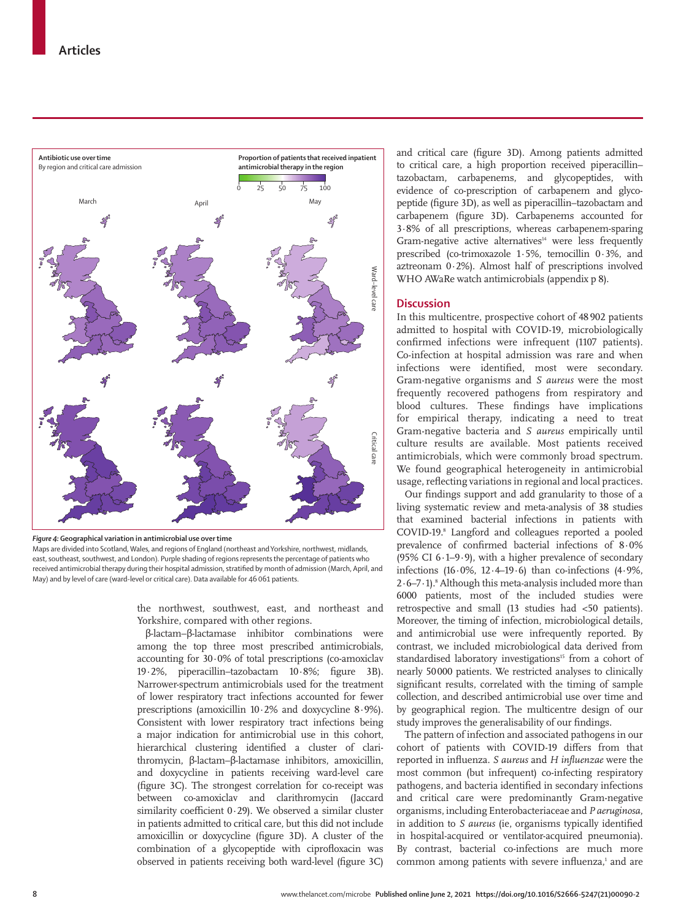

*Figure 4:* **Geographical variation in antimicrobial use over time**

Maps are divided into Scotland, Wales, and regions of England (northeast and Yorkshire, northwest, midlands, east, southeast, southwest, and London). Purple shading of regions represents the percentage of patients who received antimicrobial therapy during their hospital admission, stratified by month of admission (March, April, and May) and by level of care (ward-level or critical care). Data available for 46061 patients.

> the northwest, southwest, east, and northeast and Yorkshire, compared with other regions.

> β-lactam–β-lactamase inhibitor combinations were among the top three most prescribed antimicrobials, accounting for 30·0% of total prescriptions (co-amoxiclav 19·2%, piperacillin–tazobactam 10·8%; figure 3B). Narrower-spectrum antimicrobials used for the treatment of lower respiratory tract infections accounted for fewer prescriptions (amoxicillin 10·2% and doxycycline 8·9%). Consistent with lower respiratory tract infections being a major indication for antimicrobial use in this cohort, hierarchical clustering identified a cluster of clarithromycin, β-lactam–β-lactamase inhibitors, amoxicillin, and doxycycline in patients receiving ward-level care (figure 3C). The strongest correlation for co-receipt was between co-amoxiclav and clarithromycin (Jaccard similarity coefficient 0·29). We observed a similar cluster in patients admitted to critical care, but this did not include amoxicillin or doxycycline (figure 3D). A cluster of the combination of a glycopeptide with ciprofloxacin was observed in patients receiving both ward-level (figure 3C)

and critical care (figure 3D). Among patients admitted to critical care, a high proportion received piperacillin– tazobactam, carbapenems, and glycopeptides, with evidence of co-prescription of carbapenem and glycopeptide (figure 3D), as well as piperacillin–tazobactam and carbapenem (figure 3D). Carbapenems accounted for 3·8% of all prescriptions, whereas carbapenem-sparing Gram-negative active alternatives<sup>14</sup> were less frequently prescribed (co-trimoxazole 1·5%, temocillin 0·3%, and aztreonam 0·2%). Almost half of prescriptions involved WHO AWaRe watch antimicrobials (appendix p 8).

## **Discussion**

In this multicentre, prospective cohort of 48 902 patients admitted to hospital with COVID-19, microbiologically confirmed infections were infrequent (1107 patients). Co-infection at hospital admission was rare and when infections were identified, most were secondary. Gram-negative organisms and *S aureus* were the most frequently recovered pathogens from respiratory and blood cultures. These findings have implications for empirical therapy, indicating a need to treat Gram-negative bacteria and *S aureus* empirically until culture results are available. Most patients received antimicrobials, which were commonly broad spectrum. We found geographical heterogeneity in antimicrobial usage, reflecting variations in regional and local practices.

Our findings support and add granularity to those of a living systematic review and meta-analysis of 38 studies that examined bacterial infections in patients with COVID-19.8 Langford and colleagues reported a pooled prevalence of confirmed bacterial infections of 8·0% (95% CI  $6.1-9.9$ ), with a higher prevalence of secondary infections  $(16.0\%, 12.4–19.6)$  than co-infections  $(4.9\%,$  $2.6 - 7.1$ ).<sup>8</sup> Although this meta-analysis included more than 6000 patients, most of the included studies were retrospective and small (13 studies had <50 patients). Moreover, the timing of infection, microbiological details, and antimicrobial use were infrequently reported. By contrast, we included microbiological data derived from standardised laboratory investigations<sup>15</sup> from a cohort of nearly 50000 patients. We restricted analyses to clinically significant results, correlated with the timing of sample collection, and described antimicrobial use over time and by geographical region. The multicentre design of our study improves the generalisability of our findings.

The pattern of infection and associated pathogens in our cohort of patients with COVID-19 differs from that reported in influenza. *S aureus* and *H influenzae* were the most common (but infrequent) co-infecting respiratory pathogens*,* and bacteria identified in secondary infections and critical care were predominantly Gram-negative organisms, including Enterobacteriaceae and *P aeruginosa*, in addition to *S aureus* (ie, organisms typically identified in hospital-acquired or ventilator-acquired pneumonia). By contrast, bacterial co-infections are much more common among patients with severe influenza,<sup>1</sup> and are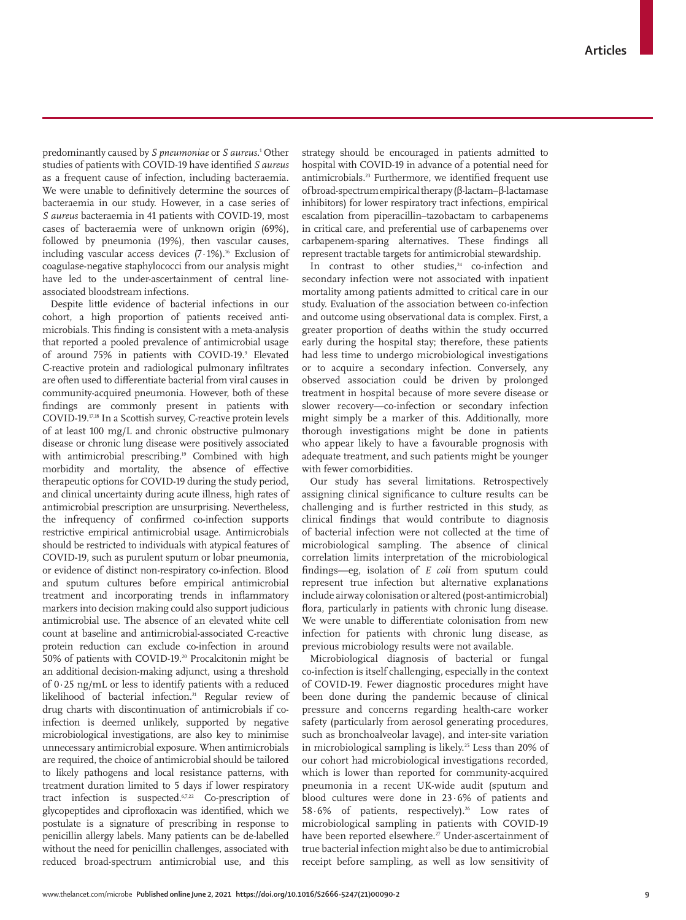predominantly caused by *S pneumoniae* or *S aureus*. 1 Other studies of patients with COVID-19 have identified *S aureus* as a frequent cause of infection, including bacteraemia. We were unable to definitively determine the sources of bacteraemia in our study. However, in a case series of *S aureus* bacteraemia in 41 patients with COVID-19, most cases of bacteraemia were of unknown origin (69%), followed by pneumonia (19%), then vascular causes, including vascular access devices  $(7.1\%)$ .<sup>16</sup> Exclusion of coagulase-negative staphylococci from our analysis might have led to the under-ascertainment of central lineassociated bloodstream infections.

Despite little evidence of bacterial infections in our cohort, a high proportion of patients received antimicrobials. This finding is consistent with a meta-analysis that reported a pooled prevalence of antimicrobial usage of around 75% in patients with COVID-19.<sup>9</sup> Elevated C-reactive protein and radiological pulmonary infiltrates are often used to differentiate bacterial from viral causes in community-acquired pneumonia. However, both of these findings are commonly present in patients with COVID-19.17,18 In a Scottish survey, C-reactive protein levels of at least 100 mg/L and chronic obstructive pulmonary disease or chronic lung disease were positively associated with antimicrobial prescribing.<sup>19</sup> Combined with high morbidity and mortality, the absence of effective therapeutic options for COVID-19 during the study period, and clinical uncertainty during acute illness, high rates of antimicrobial prescription are unsurprising. Nevertheless, the infrequency of confirmed co-infection supports restrictive empirical antimicrobial usage. Antimicrobials should be restricted to individuals with atypical features of COVID-19, such as purulent sputum or lobar pneumonia, or evidence of distinct non-respiratory co-infection. Blood and sputum cultures before empirical antimicrobial treatment and incorporating trends in inflammatory markers into decision making could also support judicious antimicrobial use. The absence of an elevated white cell count at baseline and antimicrobial-associated C-reactive protein reduction can exclude co-infection in around 50% of patients with COVID-19.20 Procalcitonin might be an additional decision-making adjunct, using a threshold of 0·25 ng/mL or less to identify patients with a reduced likelihood of bacterial infection.<sup>21</sup> Regular review of drug charts with discontinuation of antimicrobials if coinfection is deemed unlikely, supported by negative microbiological investigations, are also key to minimise unnecessary antimicrobial exposure. When antimicrobials are required, the choice of antimicrobial should be tailored to likely pathogens and local resistance patterns, with treatment duration limited to 5 days if lower respiratory tract infection is suspected.<sup>6,7,22</sup> Co-prescription of glycopeptides and ciprofloxacin was identified, which we postulate is a signature of prescribing in response to penicillin allergy labels. Many patients can be de-labelled without the need for penicillin challenges, associated with reduced broad-spectrum antimicrobial use, and this

strategy should be encouraged in patients admitted to hospital with COVID-19 in advance of a potential need for antimicrobials.23 Furthermore, we identified frequent use of broad-spectrum empirical therapy (β-lactam–β-lactamase inhibitors) for lower respiratory tract infections, empirical escalation from piperacillin–tazobactam to carbapenems in critical care, and preferential use of carbapenems over carbapenem-sparing alternatives. These findings all represent tractable targets for antimicrobial stewardship.

In contrast to other studies, $24$  co-infection and secondary infection were not associated with inpatient mortality among patients admitted to critical care in our study. Evaluation of the association between co-infection and outcome using observational data is complex. First, a greater proportion of deaths within the study occurred early during the hospital stay; therefore, these patients had less time to undergo microbiological investigations or to acquire a secondary infection. Conversely, any observed association could be driven by prolonged treatment in hospital because of more severe disease or slower recovery—co-infection or secondary infection might simply be a marker of this. Additionally, more thorough investigations might be done in patients who appear likely to have a favourable prognosis with adequate treatment, and such patients might be younger with fewer comorbidities.

Our study has several limitations. Retrospectively assigning clinical significance to culture results can be challenging and is further restricted in this study, as clinical findings that would contribute to diagnosis of bacterial infection were not collected at the time of microbiological sampling. The absence of clinical correlation limits interpretation of the microbiological findings—eg, isolation of *E coli* from sputum could represent true infection but alternative explanations include airway colonisation or altered (post-antimicrobial) flora, particularly in patients with chronic lung disease. We were unable to differentiate colonisation from new infection for patients with chronic lung disease, as previous microbiology results were not available.

Microbiological diagnosis of bacterial or fungal co-infection is itself challenging, especially in the context of COVID-19. Fewer diagnostic procedures might have been done during the pandemic because of clinical pressure and concerns regarding health-care worker safety (particularly from aerosol generating procedures, such as bronchoalveolar lavage), and inter-site variation in microbiological sampling is likely.25 Less than 20% of our cohort had microbiological investigations recorded, which is lower than reported for community-acquired pneumonia in a recent UK-wide audit (sputum and blood cultures were done in 23·6% of patients and 58 $\cdot$ 6% of patients, respectively).<sup>26</sup> Low rates of microbiological sampling in patients with COVID-19 have been reported elsewhere.<sup>27</sup> Under-ascertainment of true bacterial infection might also be due to antimicrobial receipt before sampling, as well as low sensitivity of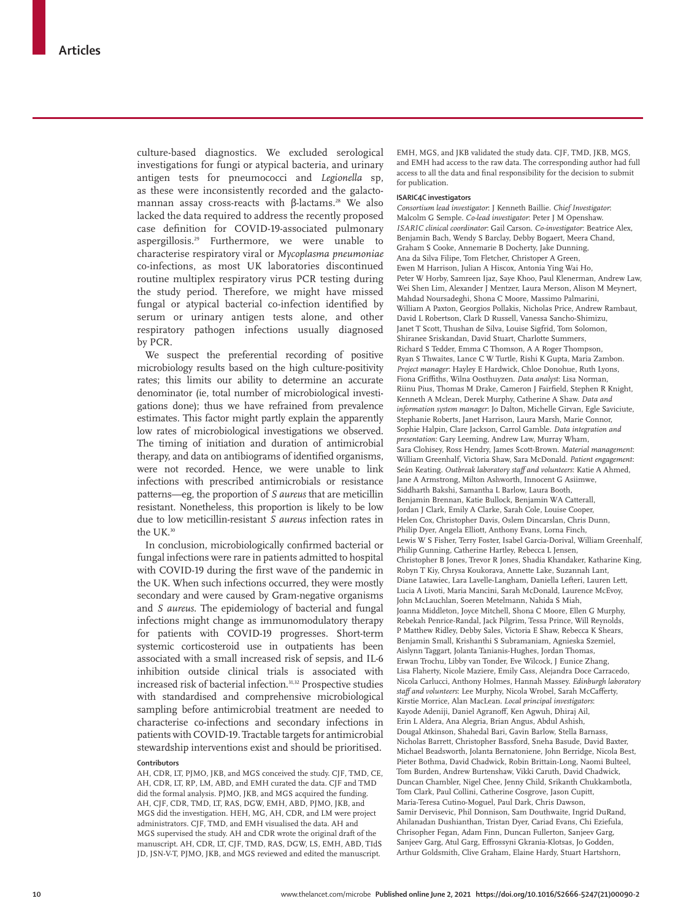culture-based diagnostics. We excluded serological investigations for fungi or atypical bacteria, and urinary antigen tests for pneumococci and *Legionella* sp, as these were inconsistently recorded and the galactomannan assay cross-reacts with β-lactams.<sup>28</sup> We also lacked the data required to address the recently proposed case definition for COVID-19-associated pulmonary aspergillosis.29 Furthermore, we were unable to characterise respiratory viral or *Mycoplasma pneumoniae* co-infections, as most UK laboratories discontinued routine multiplex respiratory virus PCR testing during the study period. Therefore, we might have missed fungal or atypical bacterial co-infection identified by serum or urinary antigen tests alone, and other respiratory pathogen infections usually diagnosed by PCR.

We suspect the preferential recording of positive microbiology results based on the high culture-positivity rates; this limits our ability to determine an accurate denominator (ie, total number of microbiological investigations done); thus we have refrained from prevalence estimates. This factor might partly explain the apparently low rates of microbiological investigations we observed. The timing of initiation and duration of antimicrobial therapy, and data on antibiograms of identified organisms, were not recorded. Hence, we were unable to link infections with prescribed antimicrobials or resistance patterns—eg, the proportion of *S aureus* that are meticillin resistant. Nonetheless, this proportion is likely to be low due to low meticillin-resistant *S aureus* infection rates in the UK.30

In conclusion, microbiologically confirmed bacterial or fungal infections were rare in patients admitted to hospital with COVID-19 during the first wave of the pandemic in the UK. When such infections occurred, they were mostly secondary and were caused by Gram-negative organisms and *S aureus*. The epidemiology of bacterial and fungal infections might change as immunomodulatory therapy for patients with COVID-19 progresses. Short-term systemic corticosteroid use in outpatients has been associated with a small increased risk of sepsis, and IL-6 inhibition outside clinical trials is associated with increased risk of bacterial infection.<sup>31,32</sup> Prospective studies with standardised and comprehensive microbiological sampling before antimicrobial treatment are needed to characterise co-infections and secondary infections in patients with COVID-19. Tractable targets for antimicrobial stewardship interventions exist and should be prioritised.

#### **Contributors**

AH, CDR, LT, PJMO, JKB, and MGS conceived the study. CJF, TMD, CE, AH, CDR, LT, RP, LM, ABD, and EMH curated the data. CJF and TMD did the formal analysis. PJMO, JKB, and MGS acquired the funding. AH, CJF, CDR, TMD, LT, RAS, DGW, EMH, ABD, PJMO, JKB, and MGS did the investigation. HEH, MG, AH, CDR, and LM were project administrators. CJF, TMD, and EMH visualised the data. AH and MGS supervised the study. AH and CDR wrote the original draft of the manuscript. AH, CDR, LT, CJF, TMD, RAS, DGW, LS, EMH, ABD, TIdS JD, JSN-V-T, PJMO, JKB, and MGS reviewed and edited the manuscript.

EMH, MGS, and JKB validated the study data. CJF, TMD, JKB, MGS, and EMH had access to the raw data. The corresponding author had full access to all the data and final responsibility for the decision to submit for publication.

## **ISARIC4C investigators**

*Consortium lead investigator*: J Kenneth Baillie. *Chief Investigator*: Malcolm G Semple. *Co-lead investigator*: Peter J M Openshaw. *ISARIC clinical coordinator*: Gail Carson. *Co-investigator*: Beatrice Alex, Benjamin Bach, Wendy S Barclay, Debby Bogaert, Meera Chand, Graham S Cooke, Annemarie B Docherty, Jake Dunning, Ana da Silva Filipe, Tom Fletcher, Christoper A Green, Ewen M Harrison, Julian A Hiscox, Antonia Ying Wai Ho, Peter W Horby, Samreen Ijaz, Saye Khoo, Paul Klenerman, Andrew Law, Wei Shen Lim, Alexander J Mentzer, Laura Merson, Alison M Meynert, Mahdad Noursadeghi, Shona C Moore, Massimo Palmarini, William A Paxton, Georgios Pollakis, Nicholas Price, Andrew Rambaut, David L Robertson, Clark D Russell, Vanessa Sancho-Shimizu, Janet T Scott, Thushan de Silva, Louise Sigfrid, Tom Solomon, Shiranee Sriskandan, David Stuart, Charlotte Summers, Richard S Tedder, Emma C Thomson, A A Roger Thompson, Ryan S Thwaites, Lance C W Turtle, Rishi K Gupta, Maria Zambon. *Project manager*: Hayley E Hardwick, Chloe Donohue, Ruth Lyons, Fiona Griffiths, Wilna Oosthuyzen. *Data analyst*: Lisa Norman, Riinu Pius, Thomas M Drake, Cameron J Fairfield, Stephen R Knight, Kenneth A Mclean, Derek Murphy, Catherine A Shaw. *Data and information system manager*: Jo Dalton, Michelle Girvan, Egle Saviciute, Stephanie Roberts, Janet Harrison, Laura Marsh, Marie Connor, Sophie Halpin, Clare Jackson, Carrol Gamble. *Data integration and presentation*: Gary Leeming, Andrew Law, Murray Wham, Sara Clohisey, Ross Hendry, James Scott-Brown. *Material management*: William Greenhalf, Victoria Shaw, Sara McDonald. *Patient engagement*: Seán Keating. *Outbreak laboratory staff and volunteers*: Katie A Ahmed, Jane A Armstrong, Milton Ashworth, Innocent G Asiimwe, Siddharth Bakshi, Samantha L Barlow, Laura Booth, Benjamin Brennan, Katie Bullock, Benjamin WA Catterall, Jordan J Clark, Emily A Clarke, Sarah Cole, Louise Cooper, Helen Cox, Christopher Davis, Oslem Dincarslan, Chris Dunn, Philip Dyer, Angela Elliott, Anthony Evans, Lorna Finch, Lewis W S Fisher, Terry Foster, Isabel Garcia-Dorival, William Greenhalf, Philip Gunning, Catherine Hartley, Rebecca L Jensen, Christopher B Jones, Trevor R Jones, Shadia Khandaker, Katharine King, Robyn T Kiy, Chrysa Koukorava, Annette Lake, Suzannah Lant, Diane Latawiec, Lara Lavelle-Langham, Daniella Lefteri, Lauren Lett, Lucia A Livoti, Maria Mancini, Sarah McDonald, Laurence McEvoy, John McLauchlan, Soeren Metelmann, Nahida S Miah, Joanna Middleton, Joyce Mitchell, Shona C Moore, Ellen G Murphy, Rebekah Penrice-Randal, Jack Pilgrim, Tessa Prince, Will Reynolds, P Matthew Ridley, Debby Sales, Victoria E Shaw, Rebecca K Shears, Benjamin Small, Krishanthi S Subramaniam, Agnieska Szemiel, Aislynn Taggart, Jolanta Tanianis-Hughes, Jordan Thomas, Erwan Trochu, Libby van Tonder, Eve Wilcock, J Eunice Zhang, Lisa Flaherty, Nicole Maziere, Emily Cass, Alejandra Doce Carracedo, Nicola Carlucci, Anthony Holmes, Hannah Massey. *Edinburgh laboratory staff and volunteers*: Lee Murphy, Nicola Wrobel, Sarah McCafferty, Kirstie Morrice, Alan MacLean. *Local principal investigators*: Kayode Adeniji, Daniel Agranoff, Ken Agwuh, Dhiraj Ail, Erin L Aldera, Ana Alegria, Brian Angus, Abdul Ashish, Dougal Atkinson, Shahedal Bari, Gavin Barlow, Stella Barnass, Nicholas Barrett, Christopher Bassford, Sneha Basude, David Baxter, Michael Beadsworth, Jolanta Bernatoniene, John Berridge, Nicola Best, Pieter Bothma, David Chadwick, Robin Brittain-Long, Naomi Bulteel, Tom Burden, Andrew Burtenshaw, Vikki Caruth, David Chadwick, Duncan Chambler, Nigel Chee, Jenny Child, Srikanth Chukkambotla, Tom Clark, Paul Collini, Catherine Cosgrove, Jason Cupitt, Maria-Teresa Cutino-Moguel, Paul Dark, Chris Dawson, Samir Dervisevic, Phil Donnison, Sam Douthwaite, Ingrid DuRand, Ahilanadan Dushianthan, Tristan Dyer, Cariad Evans, Chi Eziefula, Chrisopher Fegan, Adam Finn, Duncan Fullerton, Sanjeev Garg, Sanjeev Garg, Atul Garg, Effrossyni Gkrania-Klotsas, Jo Godden, Arthur Goldsmith, Clive Graham, Elaine Hardy, Stuart Hartshorn,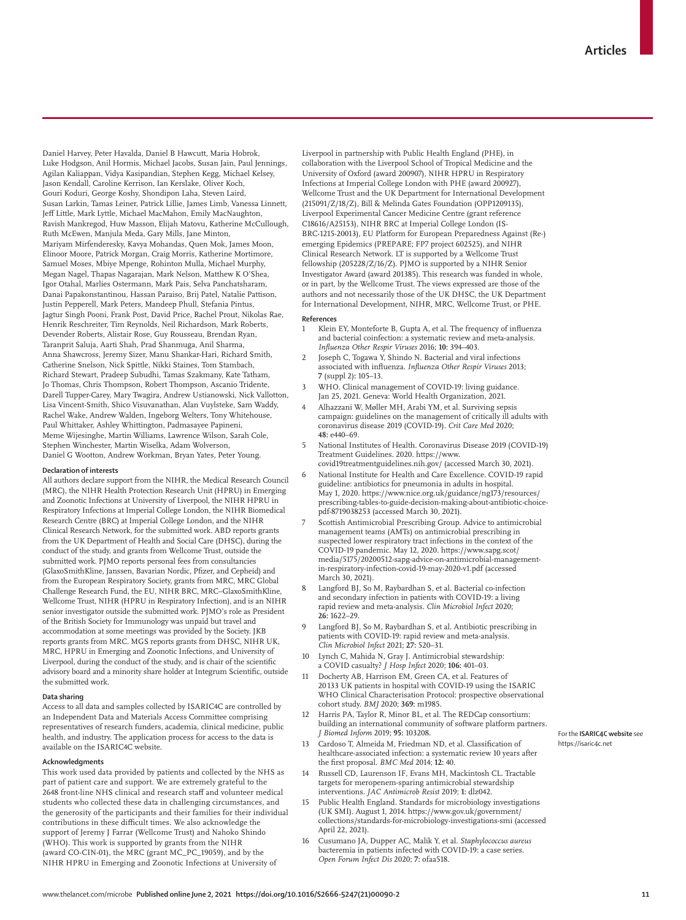Daniel Harvey, Peter Havalda, Daniel B Hawcutt, Maria Hobrok, Luke Hodgson, Anil Hormis, Michael Jacobs, Susan Jain, Paul Jennings, Agilan Kaliappan, Vidya Kasipandian, Stephen Kegg, Michael Kelsey, Jason Kendall, Caroline Kerrison, Ian Kerslake, Oliver Koch, Gouri Koduri, George Koshy, Shondipon Laha, Steven Laird, Susan Larkin, Tamas Leiner, Patrick Lillie, James Limb, Vanessa Linnett, Jeff Little, Mark Lyttle, Michael MacMahon, Emily MacNaughton, Ravish Mankregod, Huw Masson, Elijah Matovu, Katherine McCullough, Ruth McEwen, Manjula Meda, Gary Mills, Jane Minton, Mariyam Mirfenderesky, Kavya Mohandas, Quen Mok, James Moon, Elinoor Moore, Patrick Morgan, Craig Morris, Katherine Mortimore, Samuel Moses, Mbiye Mpenge, Rohinton Mulla, Michael Murphy, Megan Nagel, Thapas Nagarajan, Mark Nelson, Matthew K O'Shea, Igor Otahal, Marlies Ostermann, Mark Pais, Selva Panchatsharam, Danai Papakonstantinou, Hassan Paraiso, Brij Patel, Natalie Pattison, Justin Pepperell, Mark Peters, Mandeep Phull, Stefania Pintus, Jagtur Singh Pooni, Frank Post, David Price, Rachel Prout, Nikolas Rae, Henrik Reschreiter, Tim Reynolds, Neil Richardson, Mark Roberts, Devender Roberts, Alistair Rose, Guy Rousseau, Brendan Ryan, Taranprit Saluja, Aarti Shah, Prad Shanmuga, Anil Sharma, Anna Shawcross, Jeremy Sizer, Manu Shankar-Hari, Richard Smith, Catherine Snelson, Nick Spittle, Nikki Staines, Tom Stambach, Richard Stewart, Pradeep Subudhi, Tamas Szakmany, Kate Tatham, Jo Thomas, Chris Thompson, Robert Thompson, Ascanio Tridente, Darell Tupper-Carey, Mary Twagira, Andrew Ustianowski, Nick Vallotton, Lisa Vincent-Smith, Shico Visuvanathan, Alan Vuylsteke, Sam Waddy, Rachel Wake, Andrew Walden, Ingeborg Welters, Tony Whitehouse, Paul Whittaker, Ashley Whittington, Padmasayee Papineni, Meme Wijesinghe, Martin Williams, Lawrence Wilson, Sarah Cole, Stephen Winchester, Martin Wiselka, Adam Wolverson, Daniel G Wootton, Andrew Workman, Bryan Yates, Peter Young.

#### **Declaration of interests**

All authors declare support from the NIHR, the Medical Research Council (MRC), the NIHR Health Protection Research Unit (HPRU) in Emerging and Zoonotic Infections at University of Liverpool, the NIHR HPRU in Respiratory Infections at Imperial College London, the NIHR Biomedical Research Centre (BRC) at Imperial College London, and the NIHR Clinical Research Network, for the submitted work. ABD reports grants from the UK Department of Health and Social Care (DHSC), during the conduct of the study, and grants from Wellcome Trust, outside the submitted work. PJMO reports personal fees from consultancies (GlaxoSmithKline, Janssen, Bavarian Nordic, Pfizer, and Cepheid) and from the European Respiratory Society, grants from MRC, MRC Global Challenge Research Fund, the EU, NIHR BRC, MRC–GlaxoSmithKline, Wellcome Trust, NIHR (HPRU in Respiratory Infection), and is an NIHR senior investigator outside the submitted work. PJMO's role as President of the British Society for Immunology was unpaid but travel and accommodation at some meetings was provided by the Society. JKB reports grants from MRC. MGS reports grants from DHSC, NIHR UK, MRC, HPRU in Emerging and Zoonotic Infections, and University of Liverpool, during the conduct of the study, and is chair of the scientific advisory board and a minority share holder at Integrum Scientific, outside the submitted work.

#### **Data sharing**

Access to all data and samples collected by ISARIC4C are controlled by an Independent Data and Materials Access Committee comprising representatives of research funders, academia, clinical medicine, public health, and industry. The application process for access to the data is available on the ISARIC4C website.

#### **Acknowledgments**

This work used data provided by patients and collected by the NHS as part of patient care and support. We are extremely grateful to the 2648 front-line NHS clinical and research staff and volunteer medical students who collected these data in challenging circumstances, and the generosity of the participants and their families for their individual contributions in these difficult times. We also acknowledge the support of Jeremy J Farrar (Wellcome Trust) and Nahoko Shindo (WHO). This work is supported by grants from the NIHR (award CO-CIN-01), the MRC (grant MC\_PC\_19059), and by the NIHR HPRU in Emerging and Zoonotic Infections at University of

Liverpool in partnership with Public Health England (PHE), in collaboration with the Liverpool School of Tropical Medicine and the University of Oxford (award 200907), NIHR HPRU in Respiratory Infections at Imperial College London with PHE (award 200927), Wellcome Trust and the UK Department for International Development (215091/Z/18/Z), Bill & Melinda Gates Foundation (OPP1209135), Liverpool Experimental Cancer Medicine Centre (grant reference C18616/A25153), NIHR BRC at Imperial College London (IS-BRC-1215-20013), EU Platform for European Preparedness Against (Re-) emerging Epidemics (PREPARE; FP7 project 602525), and NIHR Clinical Research Network. LT is supported by a Wellcome Trust fellowship (205228/Z/16/Z). PJMO is supported by a NIHR Senior Investigator Award (award 201385). This research was funded in whole, or in part, by the Wellcome Trust. The views expressed are those of the authors and not necessarily those of the UK DHSC, the UK Department for International Development, NIHR, MRC, Wellcome Trust, or PHE.

#### **References**

- Klein EY, Monteforte B, Gupta A, et al. The frequency of influenza and bacterial coinfection: a systematic review and meta-analysis. *Influenza Other Respir Viruses* 2016; **10:** 394–403.
- Joseph C, Togawa Y, Shindo N. Bacterial and viral infections associated with influenza. *Influenza Other Respir Viruses* 2013; **7** (suppl 2)**:** 105–13.
- 3 WHO. Clinical management of COVID-19: living guidance. Jan 25, 2021. Geneva: World Health Organization, 2021.
- 4 Alhazzani W, Møller MH, Arabi YM, et al. Surviving sepsis campaign: guidelines on the management of critically ill adults with coronavirus disease 2019 (COVID-19). *Crit Care Med* 2020; **48:** e440–69.
- 5 National Institutes of Health. Coronavirus Disease 2019 (COVID-19) Treatment Guidelines. 2020. https://www.
- covid19treatmentguidelines.nih.gov/ (accessed March 30, 2021). 6 National Institute for Health and Care Excellence. COVID-19 rapid guideline: antibiotics for pneumonia in adults in hospital. May 1, 2020. https://www.nice.org.uk/guidance/ng173/resources/ prescribing-tables-to-guide-decision-making-about-antibiotic-choicepdf-8719038253 (accessed March 30, 2021).
- 7 Scottish Antimicrobial Prescribing Group. Advice to antimicrobial management teams (AMTs) on antimicrobial prescribing in suspected lower respiratory tract infections in the context of the COVID‐19 pandemic. May 12, 2020. https://www.sapg.scot/ media/5175/20200512-sapg-advice-on-antimicrobial-managementin-respiratory-infection-covid-19-may-2020-v1.pdf (accessed March 30, 2021).
- Langford BJ, So M, Raybardhan S, et al. Bacterial co-infection and secondary infection in patients with COVID-19: a living rapid review and meta-analysis. *Clin Microbiol Infect* 2020; **26:** 1622–29.
- 9 Langford BJ, So M, Raybardhan S, et al. Antibiotic prescribing in patients with COVID-19: rapid review and meta-analysis. *Clin Microbiol Infect* 2021; **27:** 520–31.
- Lynch C, Mahida N, Gray J. Antimicrobial stewardship: a COVID casualty? *J Hosp Infect* 2020; **106:** 401–03.
- 11 Docherty AB, Harrison EM, Green CA, et al. Features of 20 133 UK patients in hospital with COVID-19 using the ISARIC WHO Clinical Characterisation Protocol: prospective observational cohort study. *BMJ* 2020; **369:** m1985.
- Harris PA, Taylor R, Minor BL, et al. The REDCap consortium: building an international community of software platform partners. *J Biomed Inform* 2019; **95:** 103208.
- 13 Cardoso T, Almeida M, Friedman ND, et al. Classification of healthcare-associated infection: a systematic review 10 years after the first proposal. *BMC Med* 2014; **12:** 40.
- Russell CD, Laurenson IF, Evans MH, Mackintosh CL. Tractable targets for meropenem-sparing antimicrobial stewardship interventions. *JAC Antimicrob Resist* 2019; **1:** dlz042.
- 15 Public Health England. Standards for microbiology investigations (UK SMI). August 1, 2014. https://www.gov.uk/government/ collections/standards-for-microbiology-investigations-smi (accessed April 22, 2021).
- 16 Cusumano JA, Dupper AC, Malik Y, et al. *Staphylococcus aureus* bacteremia in patients infected with COVID-19: a case series. *Open Forum Infect Dis* 2020; **7:** ofaa518.

For the **ISARIC4C website** see https://isaric4c.net